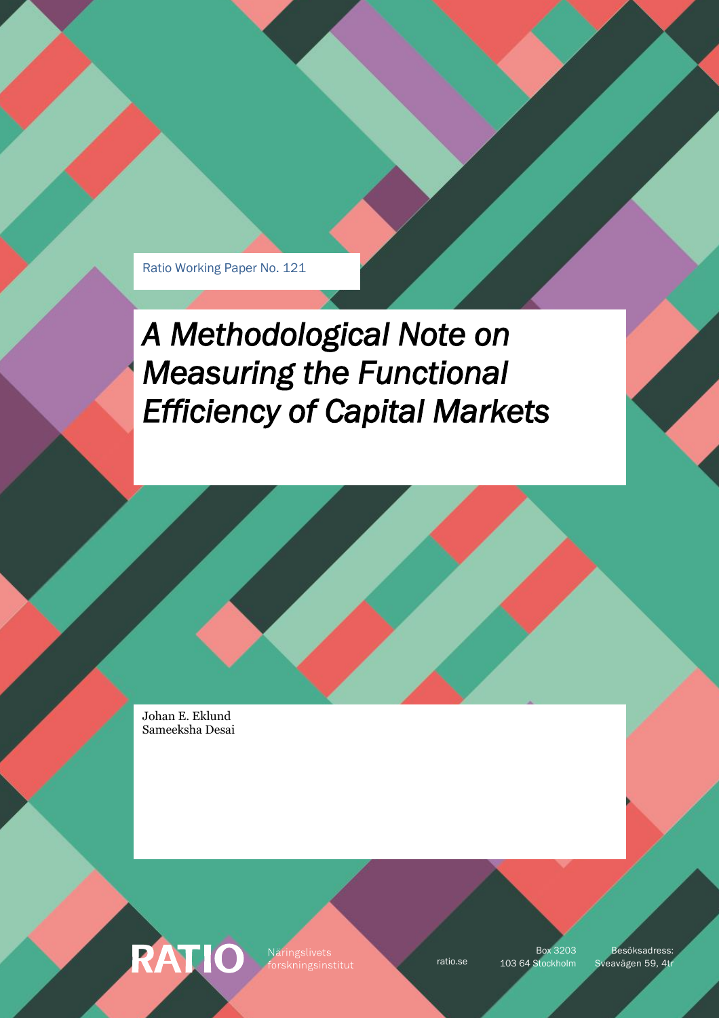Ratio Working Paper No. 121

*A Methodological Note on Measuring the Functional Efficiency of Capital Markets* 

Johan E. Eklund Sameeksha Desai

RATIO

Näringslivets

Box 3203

ratio.se 103 64 Stockholm Sveavägen 59, 4tr Besöksadress: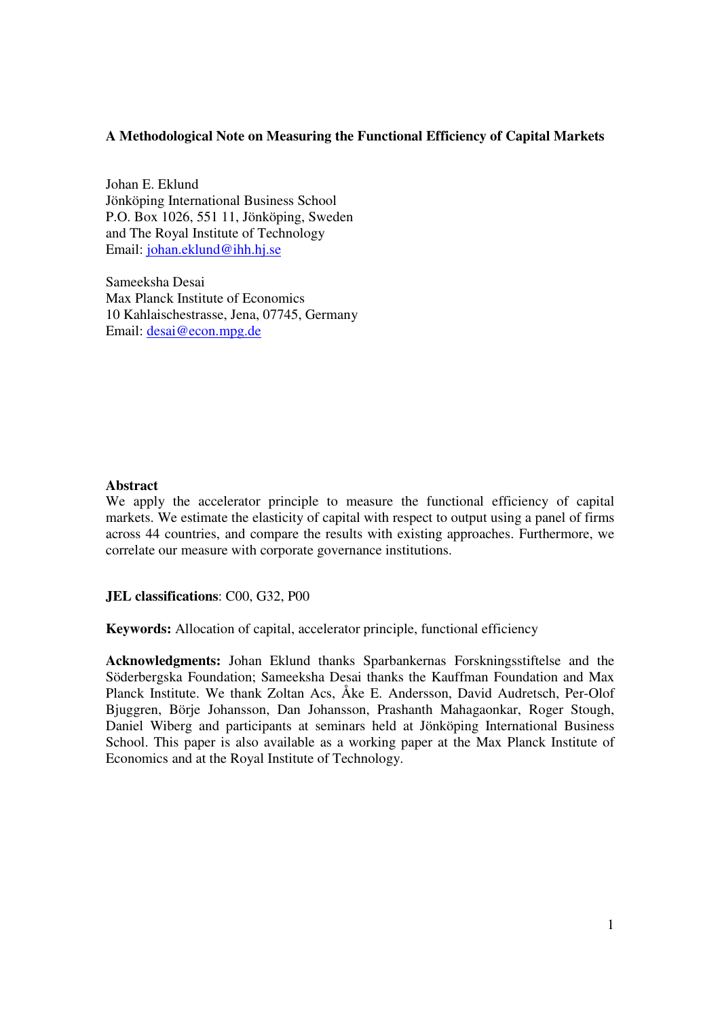## **A Methodological Note on Measuring the Functional Efficiency of Capital Markets**

Johan E. Eklund Jönköping International Business School P.O. Box 1026, 551 11, Jönköping, Sweden and The Royal Institute of Technology Email: johan.eklund@ihh.hj.se

Sameeksha Desai Max Planck Institute of Economics 10 Kahlaischestrasse, Jena, 07745, Germany Email: desai@econ.mpg.de

### **Abstract**

We apply the accelerator principle to measure the functional efficiency of capital markets. We estimate the elasticity of capital with respect to output using a panel of firms across 44 countries, and compare the results with existing approaches. Furthermore, we correlate our measure with corporate governance institutions.

**JEL classifications**: C00, G32, P00

**Keywords:** Allocation of capital, accelerator principle, functional efficiency

**Acknowledgments:** Johan Eklund thanks Sparbankernas Forskningsstiftelse and the Söderbergska Foundation; Sameeksha Desai thanks the Kauffman Foundation and Max Planck Institute. We thank Zoltan Acs, Åke E. Andersson, David Audretsch, Per-Olof Bjuggren, Börje Johansson, Dan Johansson, Prashanth Mahagaonkar, Roger Stough, Daniel Wiberg and participants at seminars held at Jönköping International Business School. This paper is also available as a working paper at the Max Planck Institute of Economics and at the Royal Institute of Technology.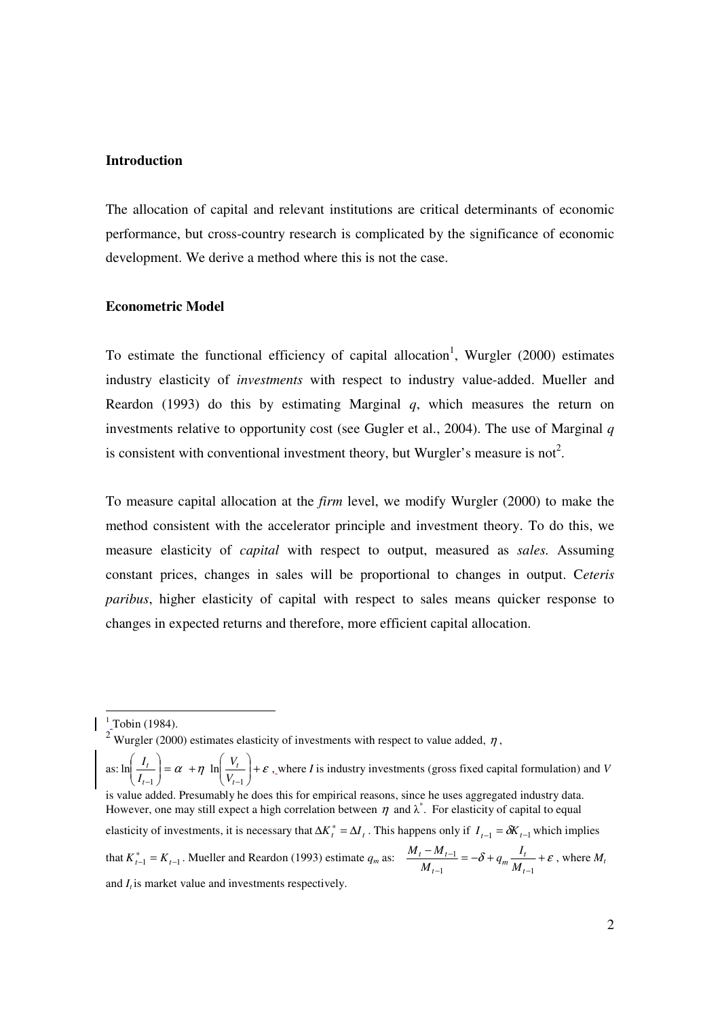#### **Introduction**

The allocation of capital and relevant institutions are critical determinants of economic performance, but cross-country research is complicated by the significance of economic development. We derive a method where this is not the case.

#### **Econometric Model**

To estimate the functional efficiency of capital allocation<sup>1</sup>, Wurgler  $(2000)$  estimates industry elasticity of *investments* with respect to industry value-added. Mueller and Reardon (1993) do this by estimating Marginal *q*, which measures the return on investments relative to opportunity cost (see Gugler et al., 2004). The use of Marginal *q* is consistent with conventional investment theory, but Wurgler's measure is not<sup>2</sup>.

To measure capital allocation at the *firm* level, we modify Wurgler (2000) to make the method consistent with the accelerator principle and investment theory. To do this, we measure elasticity of *capital* with respect to output, measured as *sales.* Assuming constant prices, changes in sales will be proportional to changes in output. C*eteris paribus*, higher elasticity of capital with respect to sales means quicker response to changes in expected returns and therefore, more efficient capital allocation.

<sup>1</sup> Tobin (1984).<br><sup>2</sup> Wurgler (2000) estimates elasticity of investments with respect to value added,  $\eta$ ,

as:  $\ln\left|\frac{I_t}{I}\right| = \alpha + \eta \ln\left|\frac{V_t}{V}\right| + \varepsilon$ J )  $\overline{\phantom{a}}$ l ſ  $= \alpha +$ J  $\backslash$  $\overline{\phantom{a}}$ l ſ  $-1$   $\bigvee$   $\bigvee$   $\bigvee$   $\bigvee$   $t-1$  $\ln \left| \frac{I_t}{I}\right| = \alpha + \eta \ln$ *t t t t V V I*  $\left(\frac{I_t}{I}\right) = \alpha + \eta \ln \left(\frac{V_t}{I} \right) + \varepsilon$ , where *I* is industry investments (gross fixed capital formulation) and *V* is value added. Presumably he does this for empirical reasons, since he uses aggregated industry data. However, one may still expect a high correlation between  $\eta$  and  $\lambda^*$ . For elasticity of capital to equal elasticity of investments, it is necessary that  $\Delta K_t^* = \Delta I_t$ . This happens only if  $I_{t-1} = \delta K_{t-1}$  which implies that  $K_{t-1}^* = K_{t-1}$ . Mueller and Reardon (1993) estimate  $q_m$  as:  $\frac{M_t - M_{t-1}}{M} = -\delta + q_m \frac{I_t}{M} + \varepsilon$  $-1$   $M_{t-}$ −  $1 \t M_{t-1}$ 1 *t*  $\frac{M_{t-1}}{M_{t-1}} = -\delta + q_m \frac{I_t}{M_t}$  $t - M_t$ *M*  $\frac{1}{M} = -\delta + q_m \frac{I}{M}$  $\frac{M_t - M_{t-1}}{M} = -\delta + q_m \frac{I_t}{M} + \varepsilon$ , where M<sub>*t*</sub> and *I<sup>t</sup>* is market value and investments respectively.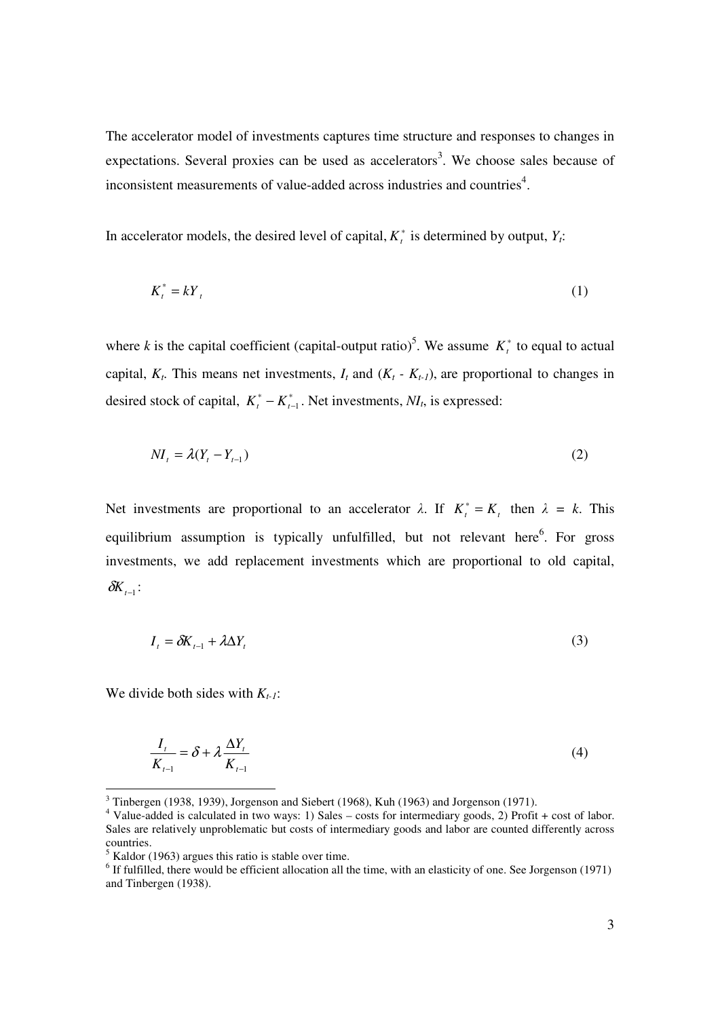The accelerator model of investments captures time structure and responses to changes in expectations. Several proxies can be used as accelerators<sup>3</sup>. We choose sales because of inconsistent measurements of value-added across industries and countries<sup>4</sup>.

In accelerator models, the desired level of capital,  $K_t^*$  is determined by output,  $Y_t$ :

$$
K_t^* = kY_t \tag{1}
$$

where *k* is the capital coefficient (capital-output ratio)<sup>5</sup>. We assume  $K_t^*$  to equal to actual capital,  $K_t$ . This means net investments,  $I_t$  and  $(K_t - K_{t-1})$ , are proportional to changes in desired stock of capital,  $K_t^* - K_{t-1}^*$ . Net investments,  $N_I$ , is expressed:

$$
NI_t = \lambda (Y_t - Y_{t-1})
$$
\n<sup>(2)</sup>

Net investments are proportional to an accelerator  $\lambda$ . If  $K_t^* = K_t$  then  $\lambda = k$ . This equilibrium assumption is typically unfulfilled, but not relevant here<sup>6</sup>. For gross investments, we add replacement investments which are proportional to old capital,  $\delta K$ <sub>t−1</sub> :

$$
I_t = \delta K_{t-1} + \lambda \Delta Y_t \tag{3}
$$

We divide both sides with *Kt-1*:

 $\overline{\phantom{a}}$ 

$$
\frac{I_t}{K_{t-1}} = \delta + \lambda \frac{\Delta Y_t}{K_{t-1}}
$$
\n<sup>(4)</sup>

 $3$  Tinbergen (1938, 1939), Jorgenson and Siebert (1968), Kuh (1963) and Jorgenson (1971).

<sup>&</sup>lt;sup>4</sup> Value-added is calculated in two ways: 1) Sales – costs for intermediary goods, 2) Profit + cost of labor. Sales are relatively unproblematic but costs of intermediary goods and labor are counted differently across countries.

 $<sup>5</sup>$  Kaldor (1963) argues this ratio is stable over time.</sup>

 $<sup>6</sup>$  If fulfilled, there would be efficient allocation all the time, with an elasticity of one. See Jorgenson (1971)</sup> and Tinbergen (1938).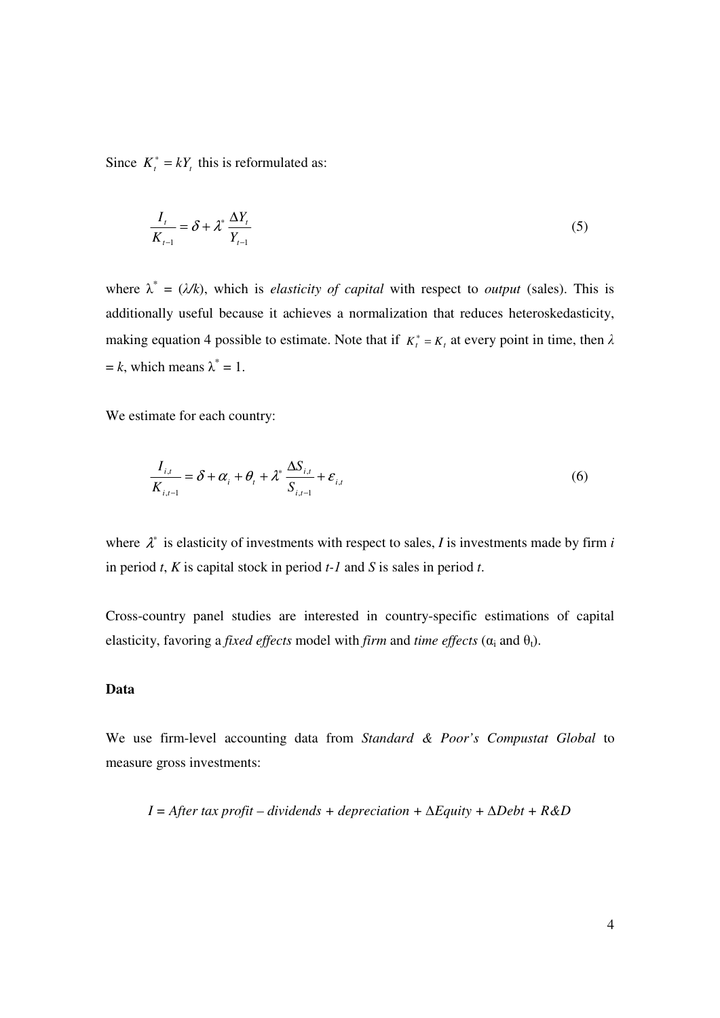Since  $K_t^* = kY_t$ , this is reformulated as:

$$
\frac{I_t}{K_{t-1}} = \delta + \lambda^* \frac{\Delta Y_t}{Y_{t-1}}
$$
\n<sup>(5)</sup>

where  $\lambda^* = (\lambda/k)$ , which is *elasticity of capital* with respect to *output* (sales). This is additionally useful because it achieves a normalization that reduces heteroskedasticity, making equation 4 possible to estimate. Note that if  $K_t^* = K_t$  at every point in time, then  $\lambda$  $= k$ , which means  $\lambda^* = 1$ .

We estimate for each country:

$$
\frac{I_{i,t}}{K_{i,t-1}} = \delta + \alpha_i + \theta_t + \lambda^* \frac{\Delta S_{i,t}}{S_{i,t-1}} + \varepsilon_{i,t}
$$
\n
$$
\tag{6}
$$

where  $\lambda^*$  is elasticity of investments with respect to sales, *I* is investments made by firm *i* in period *t*, *K* is capital stock in period *t-1* and *S* is sales in period *t*.

Cross-country panel studies are interested in country-specific estimations of capital elasticity, favoring a *fixed effects* model with *firm* and *time effects* ( $\alpha_i$  and  $\theta_t$ ).

### **Data**

We use firm-level accounting data from *Standard & Poor's Compustat Global* to measure gross investments:

$$
I = After tax profit-dividends + depreciation + \Delta Equity + \Delta Debt + R&D
$$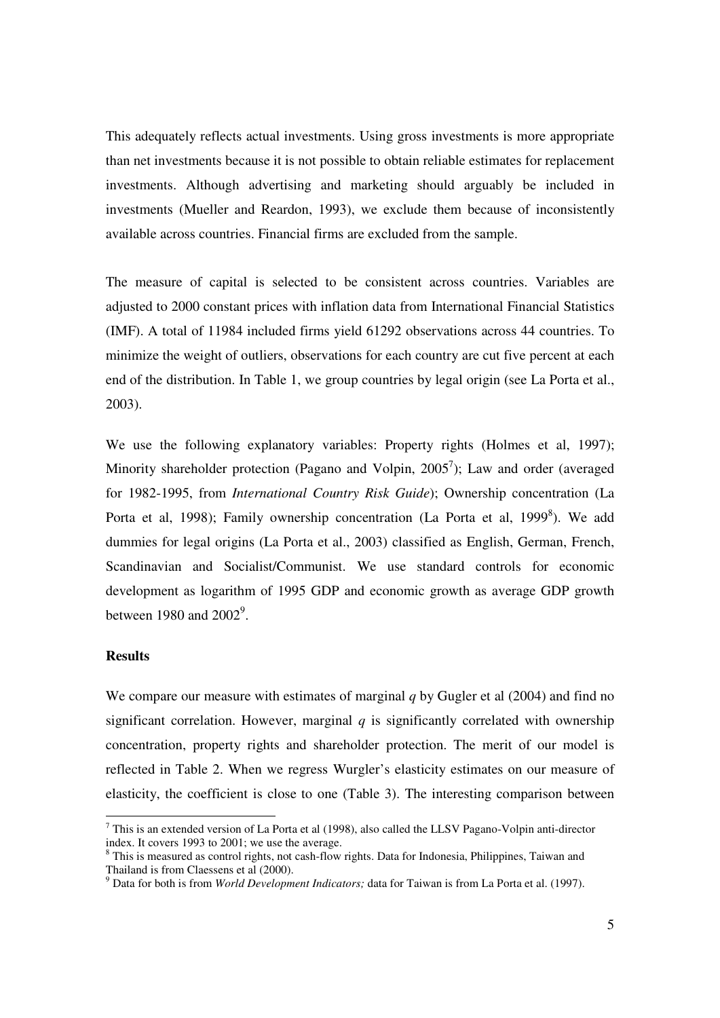This adequately reflects actual investments. Using gross investments is more appropriate than net investments because it is not possible to obtain reliable estimates for replacement investments. Although advertising and marketing should arguably be included in investments (Mueller and Reardon, 1993), we exclude them because of inconsistently available across countries. Financial firms are excluded from the sample.

The measure of capital is selected to be consistent across countries. Variables are adjusted to 2000 constant prices with inflation data from International Financial Statistics (IMF). A total of 11984 included firms yield 61292 observations across 44 countries. To minimize the weight of outliers, observations for each country are cut five percent at each end of the distribution. In Table 1, we group countries by legal origin (see La Porta et al., 2003).

We use the following explanatory variables: Property rights (Holmes et al, 1997); Minority shareholder protection (Pagano and Volpin,  $2005^7$ ); Law and order (averaged for 1982-1995, from *International Country Risk Guide*); Ownership concentration (La Porta et al, 1998); Family ownership concentration (La Porta et al, 1999 $\delta$ ). We add dummies for legal origins (La Porta et al., 2003) classified as English, German, French, Scandinavian and Socialist/Communist. We use standard controls for economic development as logarithm of 1995 GDP and economic growth as average GDP growth between 1980 and  $2002^9$ .

# **Results**

We compare our measure with estimates of marginal *q* by Gugler et al (2004) and find no significant correlation. However, marginal  $q$  is significantly correlated with ownership concentration, property rights and shareholder protection. The merit of our model is reflected in Table 2. When we regress Wurgler's elasticity estimates on our measure of elasticity, the coefficient is close to one (Table 3). The interesting comparison between

<sup>&</sup>lt;sup>7</sup> This is an extended version of La Porta et al (1998), also called the LLSV Pagano-Volpin anti-director index. It covers 1993 to 2001; we use the average.

<sup>&</sup>lt;sup>8</sup> This is measured as control rights, not cash-flow rights. Data for Indonesia, Philippines, Taiwan and Thailand is from Claessens et al (2000).

<sup>9</sup> Data for both is from *World Development Indicators;* data for Taiwan is from La Porta et al. (1997).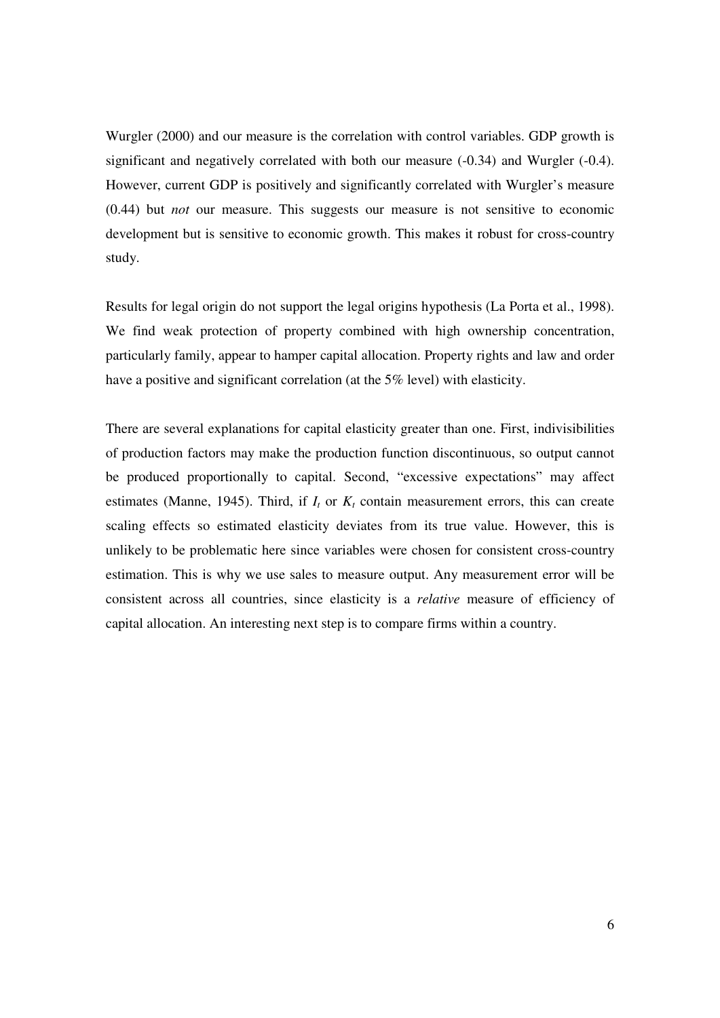Wurgler (2000) and our measure is the correlation with control variables. GDP growth is significant and negatively correlated with both our measure (-0.34) and Wurgler (-0.4). However, current GDP is positively and significantly correlated with Wurgler's measure (0.44) but *not* our measure. This suggests our measure is not sensitive to economic development but is sensitive to economic growth. This makes it robust for cross-country study.

Results for legal origin do not support the legal origins hypothesis (La Porta et al., 1998). We find weak protection of property combined with high ownership concentration, particularly family, appear to hamper capital allocation. Property rights and law and order have a positive and significant correlation (at the 5% level) with elasticity.

There are several explanations for capital elasticity greater than one. First, indivisibilities of production factors may make the production function discontinuous, so output cannot be produced proportionally to capital. Second, "excessive expectations" may affect estimates (Manne, 1945). Third, if  $I_t$  or  $K_t$  contain measurement errors, this can create scaling effects so estimated elasticity deviates from its true value. However, this is unlikely to be problematic here since variables were chosen for consistent cross-country estimation. This is why we use sales to measure output. Any measurement error will be consistent across all countries, since elasticity is a *relative* measure of efficiency of capital allocation. An interesting next step is to compare firms within a country.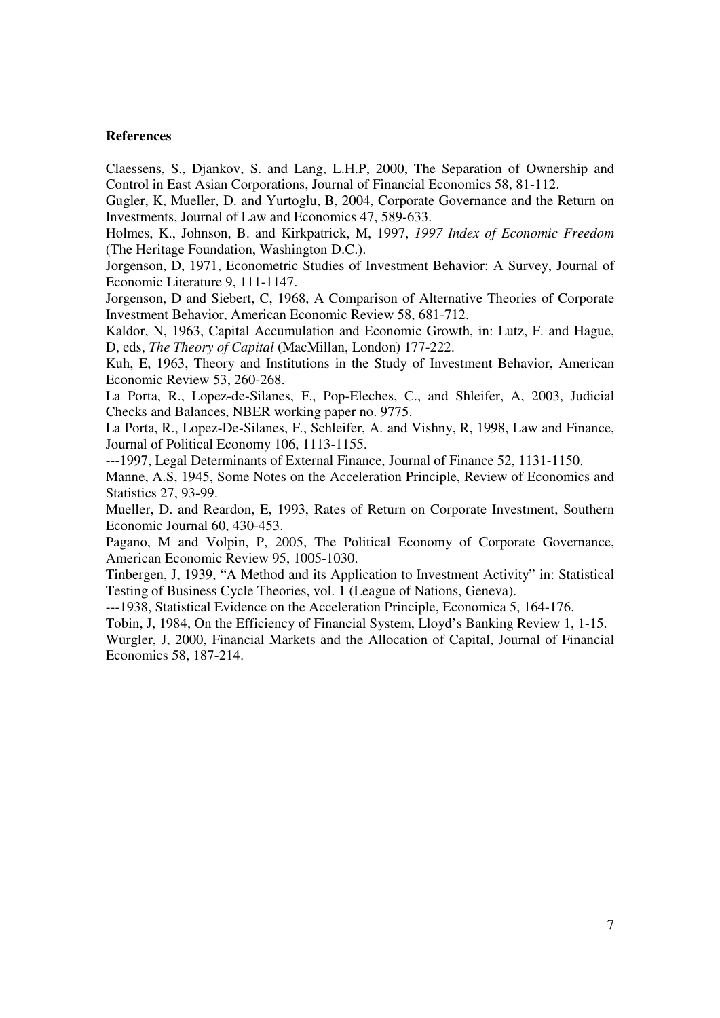#### **References**

Claessens, S., Djankov, S. and Lang, L.H.P, 2000, The Separation of Ownership and Control in East Asian Corporations, Journal of Financial Economics 58, 81-112.

Gugler, K, Mueller, D. and Yurtoglu, B, 2004, Corporate Governance and the Return on Investments, Journal of Law and Economics 47, 589-633.

Holmes, K., Johnson, B. and Kirkpatrick, M, 1997, *1997 Index of Economic Freedom* (The Heritage Foundation, Washington D.C.).

Jorgenson, D, 1971, Econometric Studies of Investment Behavior: A Survey, Journal of Economic Literature 9, 111-1147.

Jorgenson, D and Siebert, C, 1968, A Comparison of Alternative Theories of Corporate Investment Behavior, American Economic Review 58, 681-712.

Kaldor, N, 1963, Capital Accumulation and Economic Growth, in: Lutz, F. and Hague, D, eds, *The Theory of Capital* (MacMillan, London) 177-222.

Kuh, E, 1963, Theory and Institutions in the Study of Investment Behavior, American Economic Review 53, 260-268.

La Porta, R., Lopez-de-Silanes, F., Pop-Eleches, C., and Shleifer, A, 2003, Judicial Checks and Balances, NBER working paper no. 9775.

La Porta, R., Lopez-De-Silanes, F., Schleifer, A. and Vishny, R, 1998, Law and Finance, Journal of Political Economy 106, 1113-1155.

---1997, Legal Determinants of External Finance, Journal of Finance 52, 1131-1150.

Manne, A.S, 1945, Some Notes on the Acceleration Principle, Review of Economics and Statistics 27, 93-99.

Mueller, D. and Reardon, E, 1993, Rates of Return on Corporate Investment, Southern Economic Journal 60, 430-453.

Pagano, M and Volpin, P, 2005, The Political Economy of Corporate Governance, American Economic Review 95, 1005-1030.

Tinbergen, J, 1939, "A Method and its Application to Investment Activity" in: Statistical Testing of Business Cycle Theories, vol. 1 (League of Nations, Geneva).

---1938, Statistical Evidence on the Acceleration Principle, Economica 5, 164-176.

Tobin, J, 1984, On the Efficiency of Financial System, Lloyd's Banking Review 1, 1-15.

Wurgler, J, 2000, Financial Markets and the Allocation of Capital, Journal of Financial Economics 58, 187-214.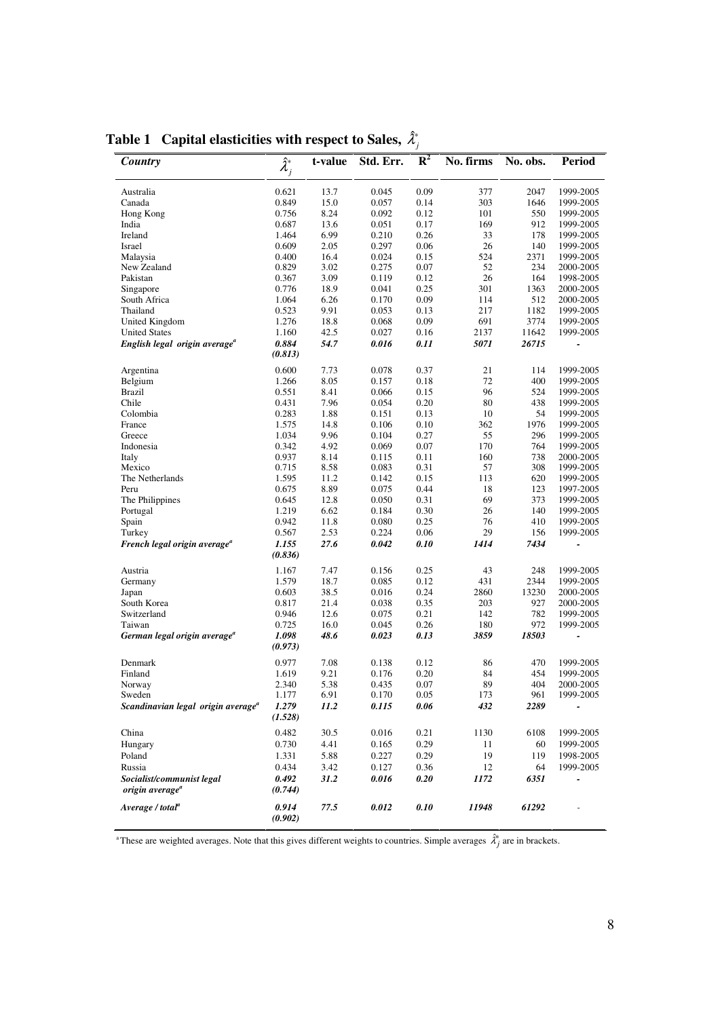| Country                                        | $\hat{\lambda}_j^*$ | t-value | Std. Err. | $\mathbb{R}^2$ | No. firms | No. obs. | <b>Period</b>            |
|------------------------------------------------|---------------------|---------|-----------|----------------|-----------|----------|--------------------------|
|                                                |                     |         |           |                |           |          |                          |
|                                                |                     |         |           |                |           |          |                          |
| Australia                                      | 0.621               | 13.7    | 0.045     | 0.09           | 377       | 2047     | 1999-2005                |
| Canada                                         | 0.849               | 15.0    | 0.057     | 0.14           | 303       | 1646     | 1999-2005                |
| Hong Kong                                      | 0.756               | 8.24    | 0.092     | 0.12           | 101       | 550      | 1999-2005                |
| India                                          | 0.687               | 13.6    | 0.051     | 0.17           | 169       | 912      | 1999-2005                |
| Ireland                                        | 1.464               | 6.99    | 0.210     | 0.26           | 33        | 178      | 1999-2005                |
| Israel                                         | 0.609               | 2.05    | 0.297     | 0.06           | 26        | 140      | 1999-2005                |
| Malaysia                                       | 0.400               | 16.4    | 0.024     | 0.15           | 524       | 2371     | 1999-2005                |
| New Zealand                                    | 0.829               | 3.02    | 0.275     | 0.07           | 52        | 234      | 2000-2005                |
| Pakistan                                       | 0.367               | 3.09    | 0.119     | 0.12           | 26        | 164      | 1998-2005                |
| Singapore                                      | 0.776               | 18.9    | 0.041     | 0.25           | 301       | 1363     | 2000-2005                |
| South Africa                                   | 1.064               | 6.26    | 0.170     | 0.09           | 114       | 512      | 2000-2005                |
| Thailand                                       | 0.523               | 9.91    | 0.053     | 0.13           | 217       | 1182     | 1999-2005                |
| United Kingdom                                 | 1.276               | 18.8    | 0.068     | 0.09           | 691       | 3774     | 1999-2005                |
| <b>United States</b>                           | 1.160               | 42.5    | 0.027     | 0.16           | 2137      | 11642    | 1999-2005                |
| English legal origin average <sup>a</sup>      | 0.884               | 54.7    | 0.016     | 0.11           | 5071      | 26715    |                          |
|                                                |                     |         |           |                |           |          |                          |
|                                                | (0.813)             |         |           |                |           |          |                          |
| Argentina                                      | 0.600               | 7.73    | 0.078     | 0.37           | 21        | 114      | 1999-2005                |
| Belgium                                        | 1.266               | 8.05    | 0.157     | 0.18           | 72        | 400      | 1999-2005                |
| <b>Brazil</b>                                  | 0.551               | 8.41    | 0.066     | 0.15           | 96        | 524      | 1999-2005                |
| Chile                                          | 0.431               | 7.96    | 0.054     | 0.20           | 80        | 438      | 1999-2005                |
| Colombia                                       | 0.283               | 1.88    | 0.151     | 0.13           | 10        | 54       | 1999-2005                |
| France                                         | 1.575               | 14.8    | 0.106     | 0.10           | 362       | 1976     | 1999-2005                |
| Greece                                         | 1.034               | 9.96    | 0.104     | 0.27           | 55        | 296      | 1999-2005                |
| Indonesia                                      | 0.342               |         |           | 0.07           | 170       | 764      |                          |
|                                                |                     | 4.92    | 0.069     |                |           |          | 1999-2005                |
| Italy                                          | 0.937               | 8.14    | 0.115     | 0.11           | 160       | 738      | 2000-2005                |
| Mexico                                         | 0.715               | 8.58    | 0.083     | 0.31           | 57        | 308      | 1999-2005                |
| The Netherlands                                | 1.595               | 11.2    | 0.142     | 0.15           | 113       | 620      | 1999-2005                |
| Peru                                           | 0.675               | 8.89    | 0.075     | 0.44           | 18        | 123      | 1997-2005                |
| The Philippines                                | 0.645               | 12.8    | 0.050     | 0.31           | 69        | 373      | 1999-2005                |
| Portugal                                       | 1.219               | 6.62    | 0.184     | 0.30           | 26        | 140      | 1999-2005                |
| Spain                                          | 0.942               | 11.8    | 0.080     | 0.25           | 76        | 410      | 1999-2005                |
| Turkey                                         | 0.567               | 2.53    | 0.224     | 0.06           | 29        | 156      | 1999-2005                |
| French legal origin average <sup>a</sup>       | 1.155               | 27.6    | 0.042     | 0.10           | 1414      | 7434     |                          |
|                                                | (0.836)             |         |           |                |           |          |                          |
|                                                |                     |         |           |                |           |          |                          |
| Austria                                        | 1.167               | 7.47    | 0.156     | 0.25           | 43        | 248      | 1999-2005                |
| Germany                                        | 1.579               | 18.7    | 0.085     | 0.12           | 431       | 2344     | 1999-2005                |
| Japan                                          | 0.603               | 38.5    | 0.016     | 0.24           | 2860      | 13230    | 2000-2005                |
| South Korea                                    | 0.817               | 21.4    | 0.038     | 0.35           | 203       | 927      | 2000-2005                |
| Switzerland                                    | 0.946               | 12.6    | 0.075     | 0.21           | 142       | 782      | 1999-2005                |
| Taiwan                                         | 0.725               | 16.0    | 0.045     | 0.26           | 180       | 972      | 1999-2005                |
| German legal origin average <sup>a</sup>       | 1.098               | 48.6    | 0.023     | 0.13           | 3859      | 18503    | $\overline{\phantom{a}}$ |
|                                                | (0.973)             |         |           |                |           |          |                          |
|                                                |                     |         |           |                |           |          |                          |
| Denmark                                        | 0.977               | 7.08    | 0.138     | 0.12           | 86        | 470      | 1999-2005                |
| Finland                                        | 1.619               | 9.21    | 0.176     | 0.20           | 84        | 454      | 1999-2005                |
| Norway                                         | 2.340               | 5.38    | 0.435     | 0.07           | 89        | 404      | 2000-2005                |
| Sweden                                         | 1.177               | 6.91    | 0.170     | 0.05           | 173       | 961      | 1999-2005                |
| Scandinavian legal origin average <sup>a</sup> | 1.279               | 11.2    | 0.115     | 0.06           | 432       | 2289     |                          |
|                                                | (1.528)             |         |           |                |           |          |                          |
| China                                          | 0.482               | 30.5    | 0.016     | 0.21           | 1130      | 6108     | 1999-2005                |
|                                                |                     |         |           |                |           |          |                          |
| Hungary                                        | 0.730               | 4.41    | 0.165     | 0.29           | 11        | 60       | 1999-2005                |
| Poland                                         | 1.331               | 5.88    | 0.227     | 0.29           | 19        | 119      | 1998-2005                |
| Russia                                         | 0.434               | 3.42    | 0.127     | 0.36           | 12        | 64       | 1999-2005                |
| Socialist/communist legal                      | 0.492               | 31.2    | 0.016     | 0.20           | 1172      | 6351     | -                        |
| origin average <sup>a</sup>                    | (0.744)             |         |           |                |           |          |                          |
|                                                |                     |         |           |                |           |          |                          |
| Average / total <sup>a</sup>                   | 0.914               | 77.5    | 0.012     | 0.10           | 11948     | 61292    |                          |
|                                                | (0.902)             |         |           |                |           |          |                          |

**Table 1** Capital elasticities with respect to Sales,  $\hat{\lambda}^*_{j}$ 

<sup>a</sup>These are weighted averages. Note that this gives different weights to countries. Simple averages  $\hat{\lambda}^*_j$  are in brackets.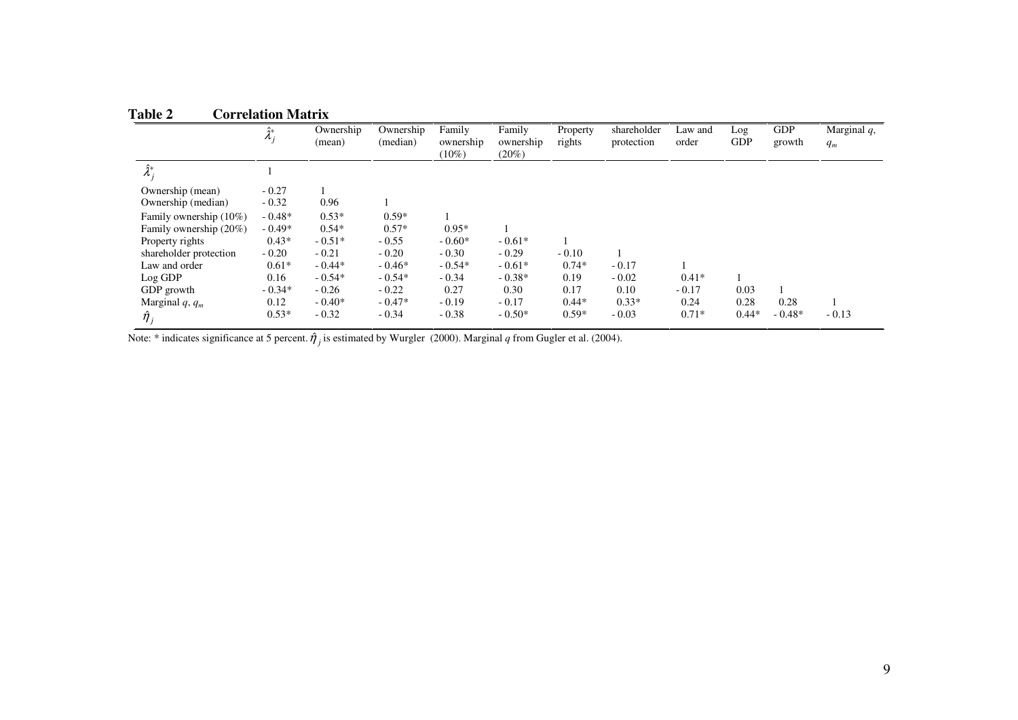| Table 2 | <b>Correlation Matrix</b> |
|---------|---------------------------|

|                        | $\hat{\tau}$<br>$\Lambda_i$ | Ownership<br>(mean) | Ownership<br>(median) | Family<br>ownership<br>$(10\%)$ | Family<br>ownership<br>$(20\%)$ | Property<br>rights | shareholder<br>protection | Law and<br>order | Log<br><b>GDP</b> | <b>GDP</b><br>growth | Marginal $q$ ,<br>$q_m$ |
|------------------------|-----------------------------|---------------------|-----------------------|---------------------------------|---------------------------------|--------------------|---------------------------|------------------|-------------------|----------------------|-------------------------|
| $\hat{\lambda}^*$      |                             |                     |                       |                                 |                                 |                    |                           |                  |                   |                      |                         |
| Ownership (mean)       | $-0.27$                     |                     |                       |                                 |                                 |                    |                           |                  |                   |                      |                         |
| Ownership (median)     | $-0.32$                     | 0.96                |                       |                                 |                                 |                    |                           |                  |                   |                      |                         |
| Family ownership (10%) | $-0.48*$                    | $0.53*$             | $0.59*$               |                                 |                                 |                    |                           |                  |                   |                      |                         |
| Family ownership (20%) | $-0.49*$                    | $0.54*$             | $0.57*$               | $0.95*$                         |                                 |                    |                           |                  |                   |                      |                         |
| Property rights        | $0.43*$                     | $-0.51*$            | $-0.55$               | $-0.60*$                        | $-0.61*$                        |                    |                           |                  |                   |                      |                         |
| shareholder protection | $-0.20$                     | $-0.21$             | $-0.20$               | $-0.30$                         | $-0.29$                         | $-0.10$            |                           |                  |                   |                      |                         |
| Law and order          | $0.61*$                     | $-0.44*$            | $-0.46*$              | $-0.54*$                        | $-0.61*$                        | $0.74*$            | $-0.17$                   |                  |                   |                      |                         |
| Log GDP                | 0.16                        | $-0.54*$            | $-0.54*$              | $-0.34$                         | $-0.38*$                        | 0.19               | $-0.02$                   | $0.41*$          |                   |                      |                         |
| GDP growth             | $-0.34*$                    | $-0.26$             | $-0.22$               | 0.27                            | 0.30                            | 0.17               | 0.10                      | $-0.17$          | 0.03              |                      |                         |
| Marginal $q, q_m$      | 0.12                        | $-0.40*$            | $-0.47*$              | $-0.19$                         | $-0.17$                         | $0.44*$            | $0.33*$                   | 0.24             | 0.28              | 0.28                 |                         |
| $\hat{\eta}_j$         | $0.53*$                     | $-0.32$             | $-0.34$               | $-0.38$                         | $-0.50*$                        | $0.59*$            | $-0.03$                   | $0.71*$          | $0.44*$           | $-0.48*$             | $-0.13$                 |

Note: \* indicates significance at 5 percent.  $\hat{\eta}_j$  is estimated by Wurgler (2000). Marginal *q* from Gugler et al. (2004).